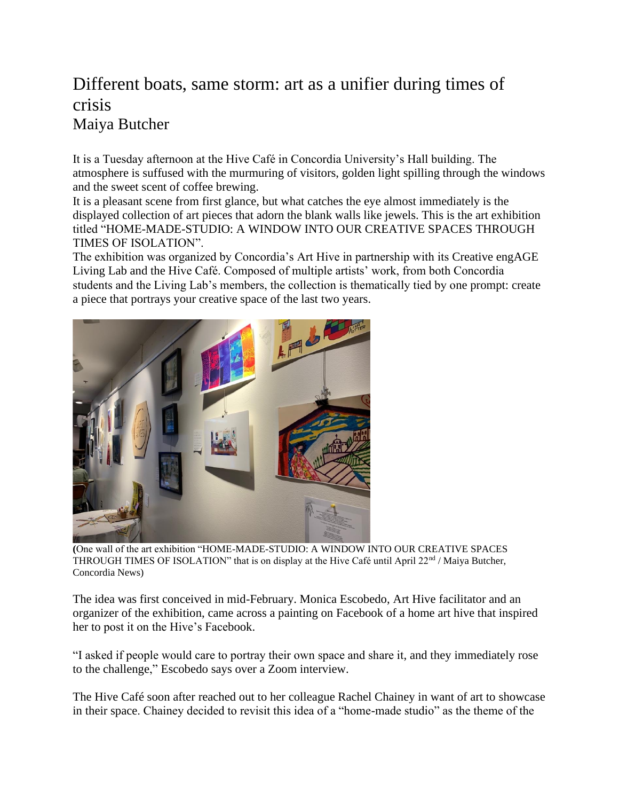## Different boats, same storm: art as a unifier during times of crisis Maiya Butcher

It is a Tuesday afternoon at the Hive Café in Concordia University's Hall building. The atmosphere is suffused with the murmuring of visitors, golden light spilling through the windows and the sweet scent of coffee brewing.

It is a pleasant scene from first glance, but what catches the eye almost immediately is the displayed collection of art pieces that adorn the blank walls like jewels. This is the art exhibition titled "HOME-MADE-STUDIO: A WINDOW INTO OUR CREATIVE SPACES THROUGH TIMES OF ISOLATION".

The exhibition was organized by Concordia's Art Hive in partnership with its Creative engAGE Living Lab and the Hive Café. Composed of multiple artists' work, from both Concordia students and the Living Lab's members, the collection is thematically tied by one prompt: create a piece that portrays your creative space of the last two years.



**(**One wall of the art exhibition "HOME-MADE-STUDIO: A WINDOW INTO OUR CREATIVE SPACES THROUGH TIMES OF ISOLATION" that is on display at the Hive Café until April 22<sup>nd</sup> / Maiya Butcher, Concordia News)

The idea was first conceived in mid-February. Monica Escobedo, Art Hive facilitator and an organizer of the exhibition, came across a painting on Facebook of a home art hive that inspired her to post it on the Hive's Facebook.

"I asked if people would care to portray their own space and share it, and they immediately rose to the challenge," Escobedo says over a Zoom interview.

The Hive Café soon after reached out to her colleague Rachel Chainey in want of art to showcase in their space. Chainey decided to revisit this idea of a "home-made studio" as the theme of the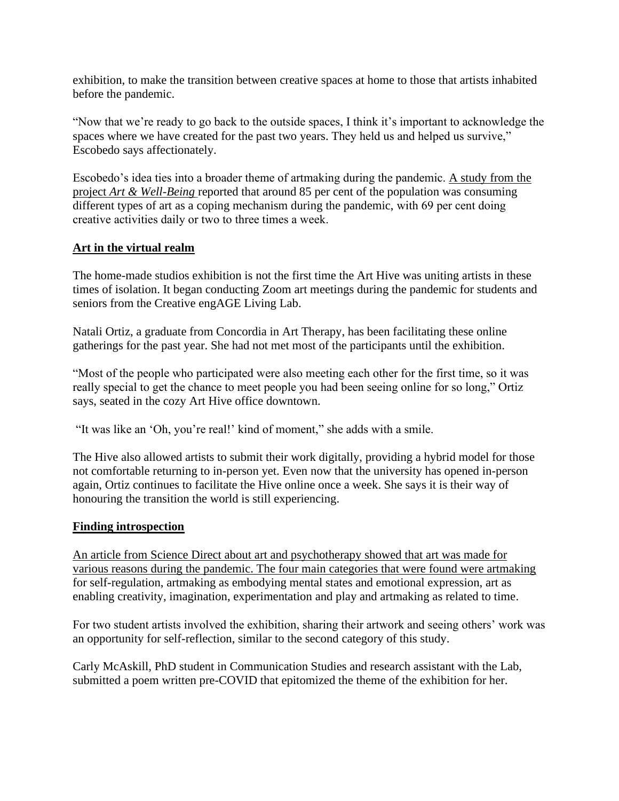exhibition, to make the transition between creative spaces at home to those that artists inhabited before the pandemic.

"Now that we're ready to go back to the outside spaces, I think it's important to acknowledge the spaces where we have created for the past two years. They held us and helped us survive," Escobedo says affectionately.

Escobedo's idea ties into a broader theme of artmaking during the pandemic. [A study from the](https://art-wellbeing.eu/research-covid-19-pandemic/)  project *[Art & Well-Being](https://art-wellbeing.eu/research-covid-19-pandemic/)* reported that around 85 per cent of the population was consuming different types of art as a coping mechanism during the pandemic, with 69 per cent doing creative activities daily or two to three times a week.

## **Art in the virtual realm**

The home-made studios exhibition is not the first time the Art Hive was uniting artists in these times of isolation. It began conducting Zoom art meetings during the pandemic for students and seniors from the Creative engAGE Living Lab.

Natali Ortiz, a graduate from Concordia in Art Therapy, has been facilitating these online gatherings for the past year. She had not met most of the participants until the exhibition.

"Most of the people who participated were also meeting each other for the first time, so it was really special to get the chance to meet people you had been seeing online for so long," Ortiz says, seated in the cozy Art Hive office downtown.

"It was like an 'Oh, you're real!' kind of moment," she adds with a smile.

The Hive also allowed artists to submit their work digitally, providing a hybrid model for those not comfortable returning to in-person yet. Even now that the university has opened in-person again, Ortiz continues to facilitate the Hive online once a week. She says it is their way of honouring the transition the world is still experiencing.

## **Finding introspection**

[An article from Science Direct about art and psychotherapy](https://www.sciencedirect.com/science/article/pii/S0197455621000691) showed that art was made for various reasons during the pandemic. The four main categories that were found were artmaking for self-regulation, artmaking as embodying mental states and emotional expression, art as enabling creativity, imagination, experimentation and play and artmaking as related to time.

For two student artists involved the exhibition, sharing their artwork and seeing others' work was an opportunity for self-reflection, similar to the second category of this study.

Carly McAskill, PhD student in Communication Studies and research assistant with the Lab, submitted a poem written pre-COVID that epitomized the theme of the exhibition for her.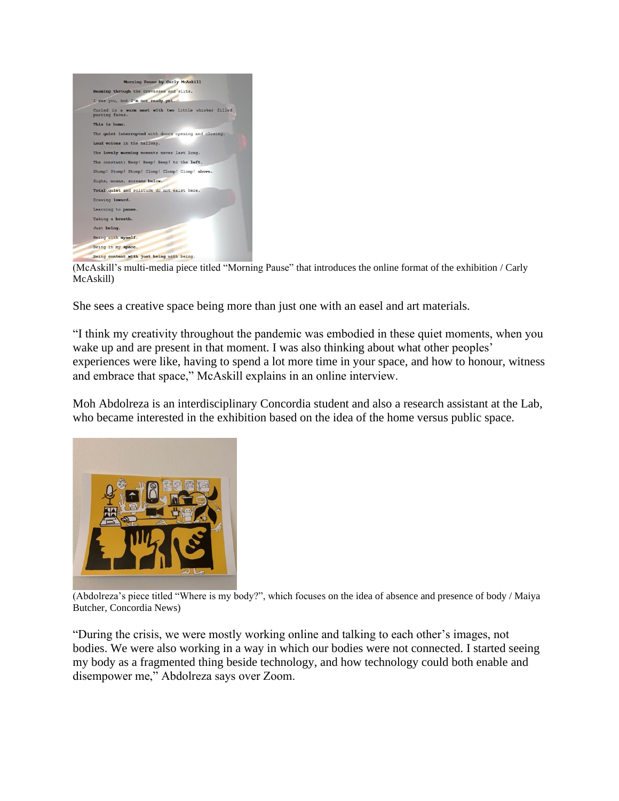

(McAskill's multi-media piece titled "Morning Pause" that introduces the online format of the exhibition / Carly McAskill)

She sees a creative space being more than just one with an easel and art materials.

"I think my creativity throughout the pandemic was embodied in these quiet moments, when you wake up and are present in that moment. I was also thinking about what other peoples' experiences were like, having to spend a lot more time in your space, and how to honour, witness and embrace that space," McAskill explains in an online interview.

Moh Abdolreza is an interdisciplinary Concordia student and also a research assistant at the Lab, who became interested in the exhibition based on the idea of the home versus public space.



(Abdolreza's piece titled "Where is my body?", which focuses on the idea of absence and presence of body / Maiya Butcher, Concordia News)

"During the crisis, we were mostly working online and talking to each other's images, not bodies. We were also working in a way in which our bodies were not connected. I started seeing my body as a fragmented thing beside technology, and how technology could both enable and disempower me," Abdolreza says over Zoom.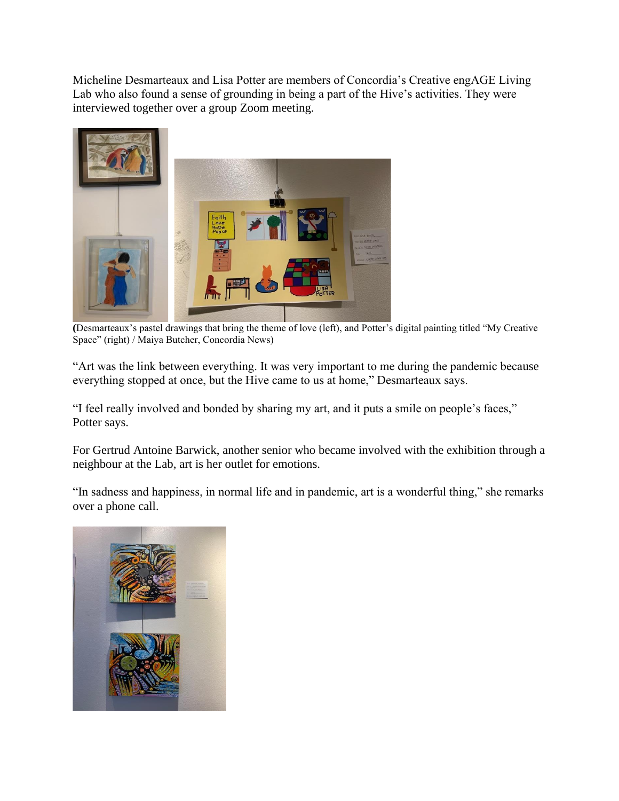Micheline Desmarteaux and Lisa Potter are members of Concordia's Creative engAGE Living Lab who also found a sense of grounding in being a part of the Hive's activities. They were interviewed together over a group Zoom meeting.



**(**Desmarteaux's pastel drawings that bring the theme of love (left), and Potter's digital painting titled "My Creative Space" (right) / Maiya Butcher, Concordia News)

"Art was the link between everything. It was very important to me during the pandemic because everything stopped at once, but the Hive came to us at home," Desmarteaux says.

"I feel really involved and bonded by sharing my art, and it puts a smile on people's faces," Potter says.

For Gertrud Antoine Barwick, another senior who became involved with the exhibition through a neighbour at the Lab, art is her outlet for emotions.

"In sadness and happiness, in normal life and in pandemic, art is a wonderful thing," she remarks over a phone call.